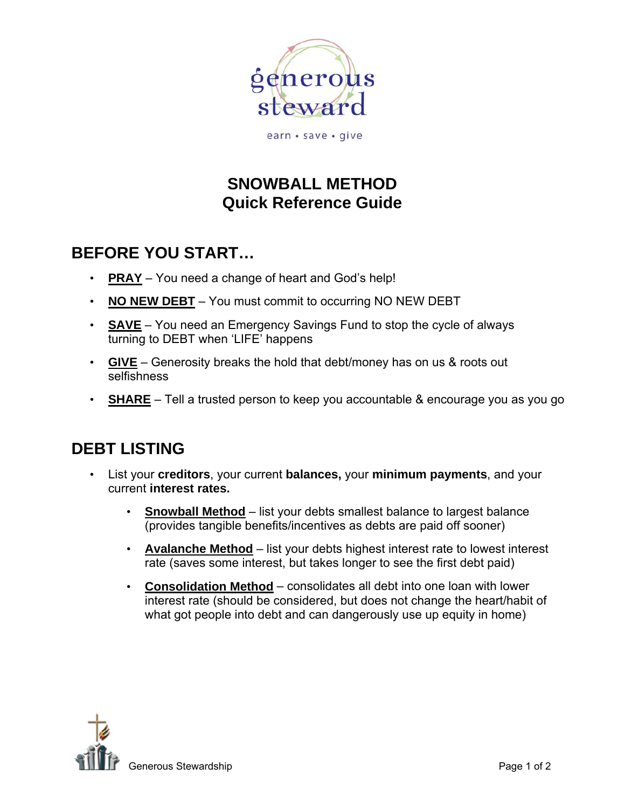

earn · save · give

## **SNOWBALL METHOD Quick Reference Guide**

# **BEFORE YOU START…**

- **PRAY** You need a change of heart and God's help!
- **NO NEW DEBT** You must commit to occurring NO NEW DEBT
- **SAVE** You need an Emergency Savings Fund to stop the cycle of always turning to DEBT when 'LIFE' happens
- **GIVE** Generosity breaks the hold that debt/money has on us & roots out selfishness
- **SHARE** Tell a trusted person to keep you accountable & encourage you as you go

### **DEBT LISTING**

- List your **creditors**, your current **balances,** your **minimum payments**, and your current **interest rates.** 
	- **Snowball Method** list your debts smallest balance to largest balance (provides tangible benefits/incentives as debts are paid off sooner)
	- **Avalanche Method** list your debts highest interest rate to lowest interest rate (saves some interest, but takes longer to see the first debt paid)
	- **Consolidation Method** consolidates all debt into one loan with lower interest rate (should be considered, but does not change the heart/habit of what got people into debt and can dangerously use up equity in home)